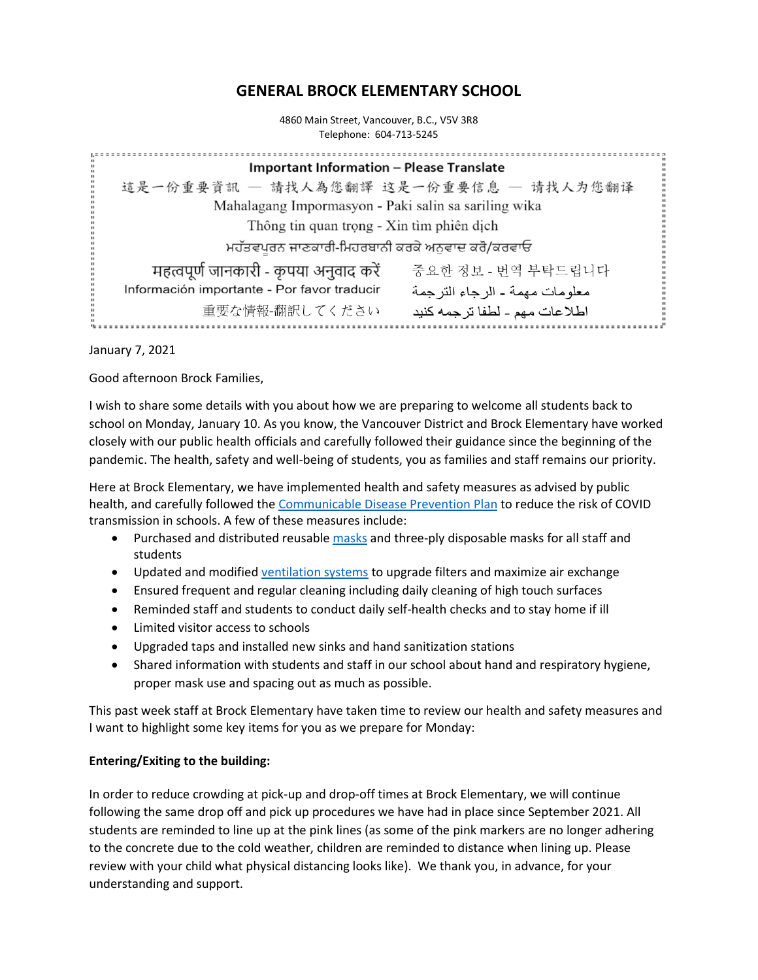# **GENERAL BROCK ELEMENTARY SCHOOL**

4860 Main Street, Vancouver, B.C., V5V 3R8 Telephone: 604-713-5245

| <b>Important Information - Please Translate</b>                               |
|-------------------------------------------------------------------------------|
| 這是一份重要資訊 — 請找人為您翻譯 这是一份重要信息 — 请找人为您翻译                                         |
| Mahalagang Impormasyon - Paki salin sa sariling wika                          |
| Thông tin quan trọng - Xin tìm phiên dịch                                     |
| ਮਹੱਤਵਪੂਰਨ ਜਾਣਕਾਰੀ-ਮਿਹਰਬਾਨੀ ਕਰਕੇ ਅਨੁਵਾਦ ਕਰੋ/ਕਰਵਾਓ                              |
| महत्वपूर्ण जानकारी - कृपया अनुवाद करें<br>중요한 정보 - 번역 부탁드립니다                  |
| Información importante - Por favor traducir<br>معلومات مهمة - الرجاء التر جمة |
| 重要な情報-翻訳してください<br>اطلاعات مهم ـ لطفا ترجمه كنيد                               |

January 7, 2021

Good afternoon Brock Families,

I wish to share some details with you about how we are preparing to welcome all students back to school on Monday, January 10. As you know, the Vancouver District and Brock Elementary have worked closely with our public health officials and carefully followed their guidance since the beginning of the pandemic. The health, safety and well-being of students, you as families and staff remains our priority.

Here at Brock Elementary, we have implemented health and safety measures as advised by public health, and carefully followed the [Communicable Disease Prevention Plan](https://www2.gov.bc.ca/assets/gov/education/administration/kindergarten-to-grade-12/safe-caring-orderly/k-12-covid-19-health-safety-guidelines-addendum.pdf) to reduce the risk of COVID transmission in schools. A few of these measures include:

- Purchased and distributed reusable [masks](https://www.vsb.bc.ca/News/_layouts/15/ci/post.aspx?oaid=195edce5-2c60-4932-82fc-0e921441898d&oact=20001) and three-ply disposable masks for all staff and students
- Updated and modified [ventilation systems](https://www.vsb.bc.ca/COVID-19/Ventilation/Pages/Default.aspx) to upgrade filters and maximize air exchange
- Ensured frequent and regular cleaning including daily cleaning of high touch surfaces
- Reminded staff and students to conduct daily self-health checks and to stay home if ill
- Limited visitor access to schools
- Upgraded taps and installed new sinks and hand sanitization stations
- Shared information with students and staff in our school about hand and respiratory hygiene, proper mask use and spacing out as much as possible.

This past week staff at Brock Elementary have taken time to review our health and safety measures and I want to highlight some key items for you as we prepare for Monday:

#### **Entering/Exiting to the building:**

In order to reduce crowding at pick-up and drop-off times at Brock Elementary, we will continue following the same drop off and pick up procedures we have had in place since September 2021. All students are reminded to line up at the pink lines (as some of the pink markers are no longer adhering to the concrete due to the cold weather, children are reminded to distance when lining up. Please review with your child what physical distancing looks like). We thank you, in advance, for your understanding and support.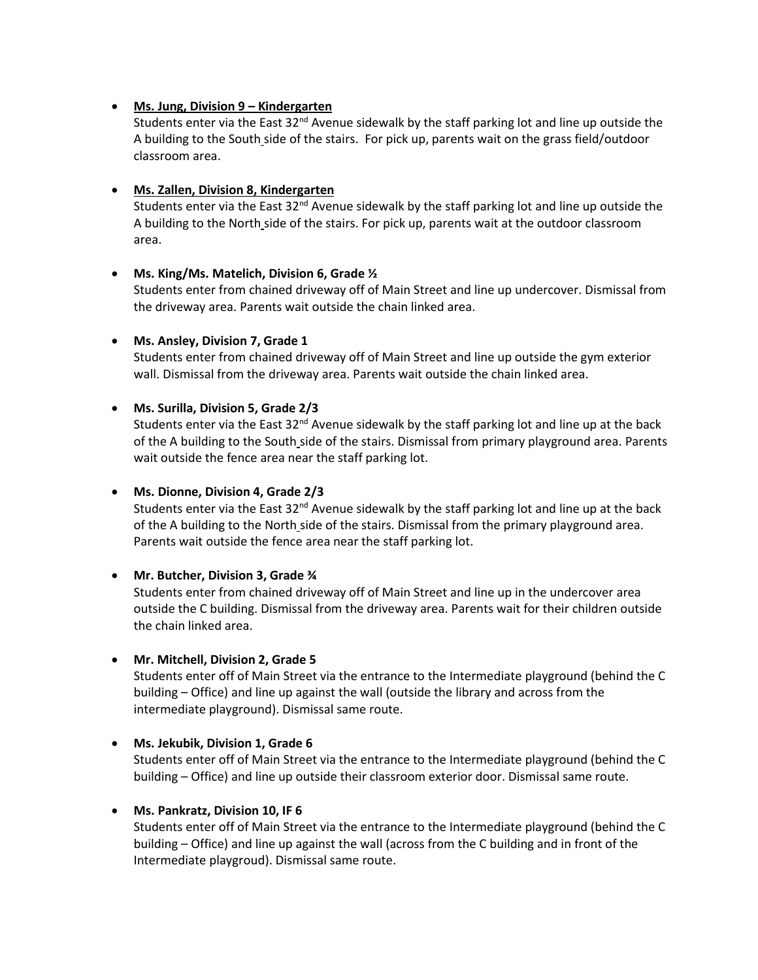# • **Ms. Jung, Division 9 – Kindergarten**

Students enter via the East 32<sup>nd</sup> Avenue sidewalk by the staff parking lot and line up outside the A building to the South side of the stairs. For pick up, parents wait on the grass field/outdoor classroom area.

# • **Ms. Zallen, Division 8, Kindergarten**

Students enter via the East  $32<sup>nd</sup>$  Avenue sidewalk by the staff parking lot and line up outside the A building to the North side of the stairs. For pick up, parents wait at the outdoor classroom area.

# • **Ms. King/Ms. Matelich, Division 6, Grade ½**

Students enter from chained driveway off of Main Street and line up undercover. Dismissal from the driveway area. Parents wait outside the chain linked area.

# • **Ms. Ansley, Division 7, Grade 1**

Students enter from chained driveway off of Main Street and line up outside the gym exterior wall. Dismissal from the driveway area. Parents wait outside the chain linked area.

# • **Ms. Surilla, Division 5, Grade 2/3**

Students enter via the East 32<sup>nd</sup> Avenue sidewalk by the staff parking lot and line up at the back of the A building to the South side of the stairs. Dismissal from primary playground area. Parents wait outside the fence area near the staff parking lot.

### • **Ms. Dionne, Division 4, Grade 2/3**

Students enter via the East 32<sup>nd</sup> Avenue sidewalk by the staff parking lot and line up at the back of the A building to the North side of the stairs. Dismissal from the primary playground area. Parents wait outside the fence area near the staff parking lot.

#### • **Mr. Butcher, Division 3, Grade ¾**

Students enter from chained driveway off of Main Street and line up in the undercover area outside the C building. Dismissal from the driveway area. Parents wait for their children outside the chain linked area.

#### • **Mr. Mitchell, Division 2, Grade 5**

Students enter off of Main Street via the entrance to the Intermediate playground (behind the C building – Office) and line up against the wall (outside the library and across from the intermediate playground). Dismissal same route.

#### • **Ms. Jekubik, Division 1, Grade 6**

Students enter off of Main Street via the entrance to the Intermediate playground (behind the C building – Office) and line up outside their classroom exterior door. Dismissal same route.

#### • **Ms. Pankratz, Division 10, IF 6**

Students enter off of Main Street via the entrance to the Intermediate playground (behind the C building – Office) and line up against the wall (across from the C building and in front of the Intermediate playgroud). Dismissal same route.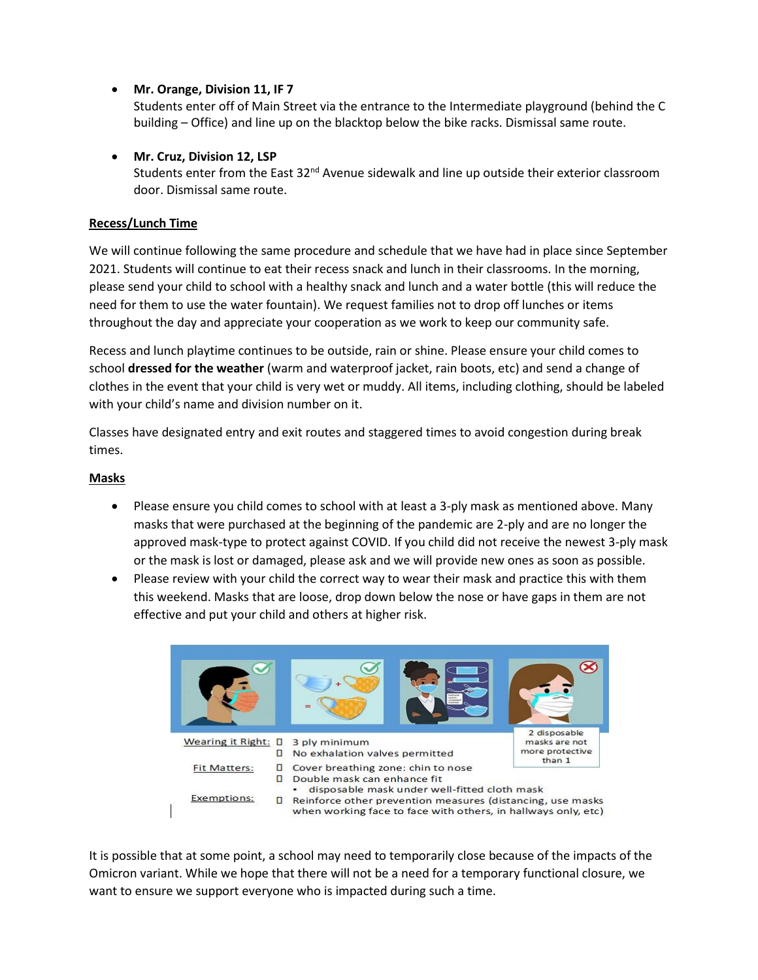# • **Mr. Orange, Division 11, IF 7**

Students enter off of Main Street via the entrance to the Intermediate playground (behind the C building – Office) and line up on the blacktop below the bike racks. Dismissal same route.

# • **Mr. Cruz, Division 12, LSP**

Students enter from the East  $32<sup>nd</sup>$  Avenue sidewalk and line up outside their exterior classroom door. Dismissal same route.

# **Recess/Lunch Time**

We will continue following the same procedure and schedule that we have had in place since September 2021. Students will continue to eat their recess snack and lunch in their classrooms. In the morning, please send your child to school with a healthy snack and lunch and a water bottle (this will reduce the need for them to use the water fountain). We request families not to drop off lunches or items throughout the day and appreciate your cooperation as we work to keep our community safe.

Recess and lunch playtime continues to be outside, rain or shine. Please ensure your child comes to school **dressed for the weather** (warm and waterproof jacket, rain boots, etc) and send a change of clothes in the event that your child is very wet or muddy. All items, including clothing, should be labeled with your child's name and division number on it.

Classes have designated entry and exit routes and staggered times to avoid congestion during break times.

# **Masks**

- Please ensure you child comes to school with at least a 3-ply mask as mentioned above. Many masks that were purchased at the beginning of the pandemic are 2-ply and are no longer the approved mask-type to protect against COVID. If you child did not receive the newest 3-ply mask or the mask is lost or damaged, please ask and we will provide new ones as soon as possible.
- Please review with your child the correct way to wear their mask and practice this with them this weekend. Masks that are loose, drop down below the nose or have gaps in them are not effective and put your child and others at higher risk.



It is possible that at some point, a school may need to temporarily close because of the impacts of the Omicron variant. While we hope that there will not be a need for a temporary functional closure, we want to ensure we support everyone who is impacted during such a time.